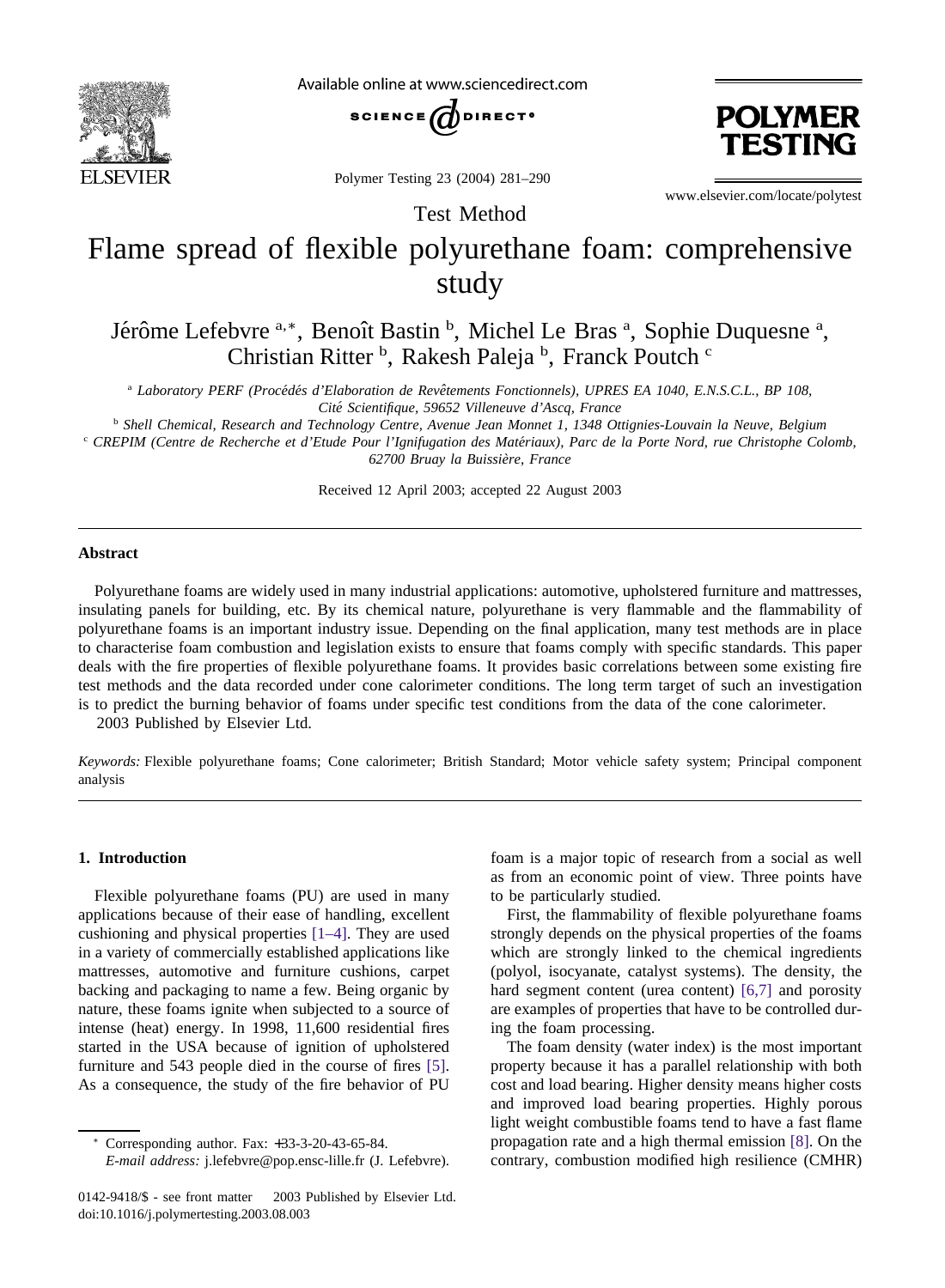

Available online at www.sciencedirect.com



Polymer Testing 23 (2004) 281–290



www.elsevier.com/locate/polytest

# Flame spread of flexible polyurethane foam: comprehensive study

Test Method

Jérôme Lefebvre <sup>a,\*</sup>, Benoît Bastin <sup>b</sup>, Michel Le Bras <sup>a</sup>, Sophie Duquesne <sup>a</sup>, Christian Ritter<sup>b</sup>, Rakesh Paleja<sup>b</sup>, Franck Poutch<sup>c</sup>

<sup>a</sup> Laboratory PERF (Procédés d'Elaboration de Revêtements Fonctionnels), UPRES EA 1040, E.N.S.C.L., BP 108, *Cite´ Scientifique, 59652 Villeneuve d'Ascq, France*

<sup>b</sup> *Shell Chemical, Research and Technology Centre, Avenue Jean Monnet 1, 1348 Ottignies-Louvain la Neuve, Belgium*

<sup>c</sup> CREPIM (Centre de Recherche et d'Etude Pour l'Ignifugation des Matériaux), Parc de la Porte Nord, rue Christophe Colomb, *62700 Bruay la Buissie`re, France*

Received 12 April 2003; accepted 22 August 2003

## **Abstract**

Polyurethane foams are widely used in many industrial applications: automotive, upholstered furniture and mattresses, insulating panels for building, etc. By its chemical nature, polyurethane is very flammable and the flammability of polyurethane foams is an important industry issue. Depending on the final application, many test methods are in place to characterise foam combustion and legislation exists to ensure that foams comply with specific standards. This paper deals with the fire properties of flexible polyurethane foams. It provides basic correlations between some existing fire test methods and the data recorded under cone calorimeter conditions. The long term target of such an investigation is to predict the burning behavior of foams under specific test conditions from the data of the cone calorimeter. 2003 Published by Elsevier Ltd.

*Keywords:* Flexible polyurethane foams; Cone calorimeter; British Standard; Motor vehicle safety system; Principal component analysis

## **1. Introduction**

Flexible polyurethane foams (PU) are used in many applications because of their ease of handling, excellent cushioning and physical properties [\[1–4\].](#page-9-0) They are used in a variety of commercially established applications like mattresses, automotive and furniture cushions, carpet backing and packaging to name a few. Being organic by nature, these foams ignite when subjected to a source of intense (heat) energy. In 1998, 11,600 residential fires started in the USA because of ignition of upholstered furniture and 543 people died in the course of fires [\[5\].](#page-9-0) As a consequence, the study of the fire behavior of PU

<sup>∗</sup> Corresponding author. Fax: +33-3-20-43-65-84.

*E-mail address:* j.lefebvre@pop.ensc-lille.fr (J. Lefebvre).

0142-9418/\$ - see front matter © 2003 Published by Elsevier Ltd. doi:10.1016/j.polymertesting.2003.08.003

foam is a major topic of research from a social as well as from an economic point of view. Three points have to be particularly studied.

First, the flammability of flexible polyurethane foams strongly depends on the physical properties of the foams which are strongly linked to the chemical ingredients (polyol, isocyanate, catalyst systems). The density, the hard segment content (urea content) [\[6,7\]](#page-9-0) and porosity are examples of properties that have to be controlled during the foam processing.

The foam density (water index) is the most important property because it has a parallel relationship with both cost and load bearing. Higher density means higher costs and improved load bearing properties. Highly porous light weight combustible foams tend to have a fast flame propagation rate and a high thermal emission [\[8\].](#page-9-0) On the contrary, combustion modified high resilience (CMHR)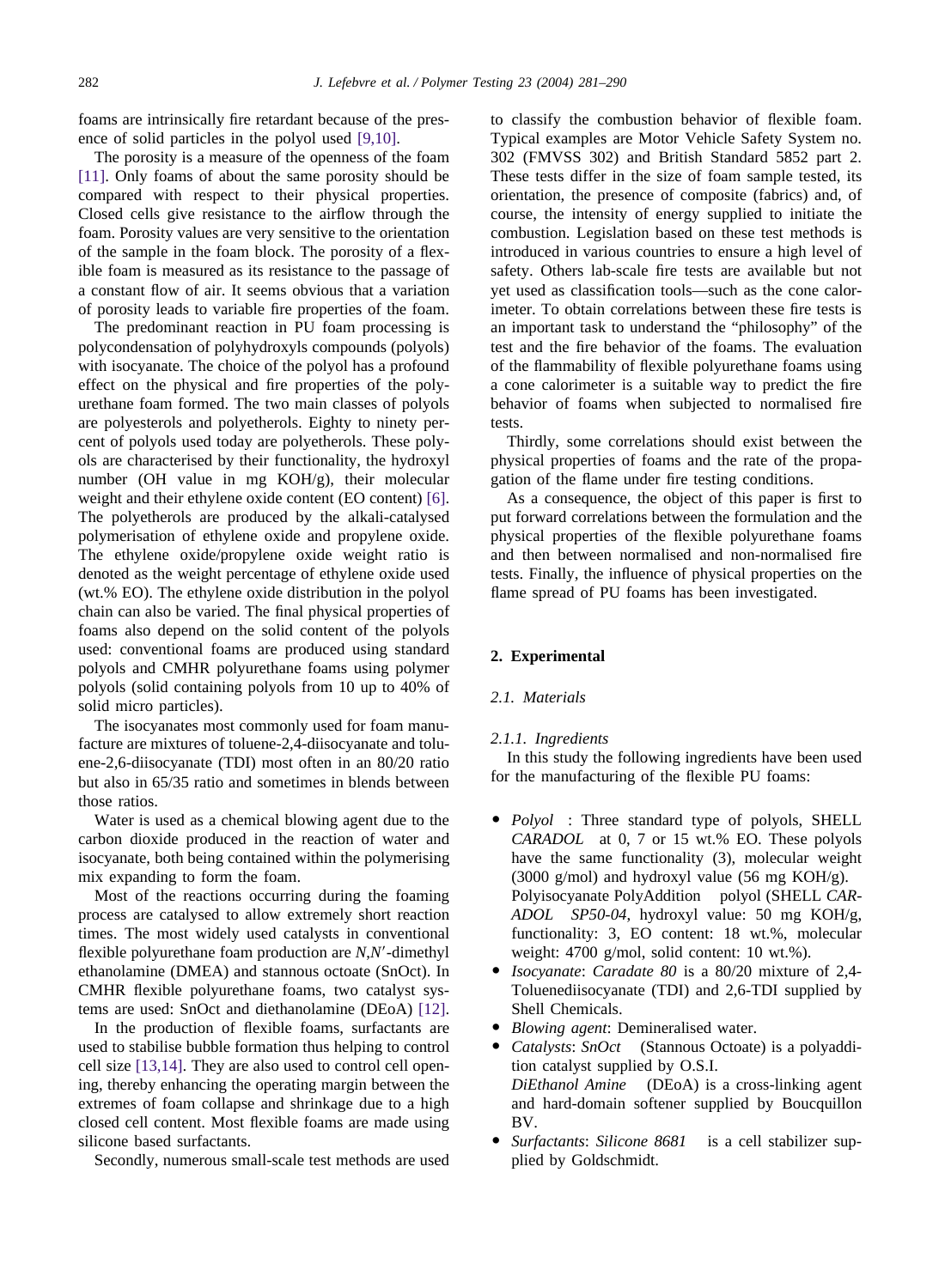foams are intrinsically fire retardant because of the presence of solid particles in the polyol used [\[9,10\].](#page-9-0)

The porosity is a measure of the openness of the foam [\[11\].](#page-9-0) Only foams of about the same porosity should be compared with respect to their physical properties. Closed cells give resistance to the airflow through the foam. Porosity values are very sensitive to the orientation of the sample in the foam block. The porosity of a flexible foam is measured as its resistance to the passage of a constant flow of air. It seems obvious that a variation of porosity leads to variable fire properties of the foam.

The predominant reaction in PU foam processing is polycondensation of polyhydroxyls compounds (polyols) with isocyanate. The choice of the polyol has a profound effect on the physical and fire properties of the polyurethane foam formed. The two main classes of polyols are polyesterols and polyetherols. Eighty to ninety percent of polyols used today are polyetherols. These polyols are characterised by their functionality, the hydroxyl number (OH value in mg KOH/g), their molecular weight and their ethylene oxide content (EO content) [\[6\].](#page-9-0) The polyetherols are produced by the alkali-catalysed polymerisation of ethylene oxide and propylene oxide. The ethylene oxide/propylene oxide weight ratio is denoted as the weight percentage of ethylene oxide used (wt.% EO). The ethylene oxide distribution in the polyol chain can also be varied. The final physical properties of foams also depend on the solid content of the polyols used: conventional foams are produced using standard polyols and CMHR polyurethane foams using polymer polyols (solid containing polyols from 10 up to 40% of solid micro particles).

The isocyanates most commonly used for foam manufacture are mixtures of toluene-2,4-diisocyanate and toluene-2,6-diisocyanate (TDI) most often in an 80/20 ratio but also in 65/35 ratio and sometimes in blends between those ratios.

Water is used as a chemical blowing agent due to the carbon dioxide produced in the reaction of water and isocyanate, both being contained within the polymerising mix expanding to form the foam.

Most of the reactions occurring during the foaming process are catalysed to allow extremely short reaction times. The most widely used catalysts in conventional flexible polyurethane foam production are *N*,*N*-dimethyl ethanolamine (DMEA) and stannous octoate (SnOct). In CMHR flexible polyurethane foams, two catalyst systems are used: SnOct and diethanolamine (DEoA) [\[12\].](#page-9-0)

In the production of flexible foams, surfactants are used to stabilise bubble formation thus helping to control cell size [\[13,14\].](#page-9-0) They are also used to control cell opening, thereby enhancing the operating margin between the extremes of foam collapse and shrinkage due to a high closed cell content. Most flexible foams are made using silicone based surfactants.

Secondly, numerous small-scale test methods are used

to classify the combustion behavior of flexible foam. Typical examples are Motor Vehicle Safety System no. 302 (FMVSS 302) and British Standard 5852 part 2. These tests differ in the size of foam sample tested, its orientation, the presence of composite (fabrics) and, of course, the intensity of energy supplied to initiate the combustion. Legislation based on these test methods is introduced in various countries to ensure a high level of safety. Others lab-scale fire tests are available but not yet used as classification tools—such as the cone calorimeter. To obtain correlations between these fire tests is an important task to understand the "philosophy" of the test and the fire behavior of the foams. The evaluation of the flammability of flexible polyurethane foams using a cone calorimeter is a suitable way to predict the fire behavior of foams when subjected to normalised fire tests.

Thirdly, some correlations should exist between the physical properties of foams and the rate of the propagation of the flame under fire testing conditions.

As a consequence, the object of this paper is first to put forward correlations between the formulation and the physical properties of the flexible polyurethane foams and then between normalised and non-normalised fire tests. Finally, the influence of physical properties on the flame spread of PU foams has been investigated.

## **2. Experimental**

## *2.1. Materials*

## *2.1.1. Ingredients*

In this study the following ingredients have been used for the manufacturing of the flexible PU foams:

- *Polyol*<sup>IM</sup>: Three standard type of polyols, SHELL  $CARADOL^*$  at 0, 7 or 15 wt.% EO. These polyols have the same functionality (3), molecular weight (3000 g/mol) and hydroxyl value (56 mg KOH/g). Polyisocyanate PolyAddition<sup>™</sup> polyol (SHELL *CAR-ADOL SP50-04*, hydroxyl value: 50 mg KOH/g, functionality: 3, EO content: 18 wt.%, molecular weight: 4700 g/mol, solid content: 10 wt.%).
- *Isocyanate*: *Caradate 80* is a 80/20 mixture of 2,4- Toluenediisocyanate (TDI) and 2,6-TDI supplied by Shell Chemicals.
- *Blowing agent*: Demineralised water.
- *Catalysts: SnOct*<sup>™</sup> (Stannous Octoate) is a polyaddition catalyst supplied by O.S.I. *DiEthanol Amine* (DEoA) is a cross-linking agent and hard-domain softener supplied by Boucquillon BV.
- *Surfactants*: *Silicone 8681* is a cell stabilizer supplied by Goldschmidt.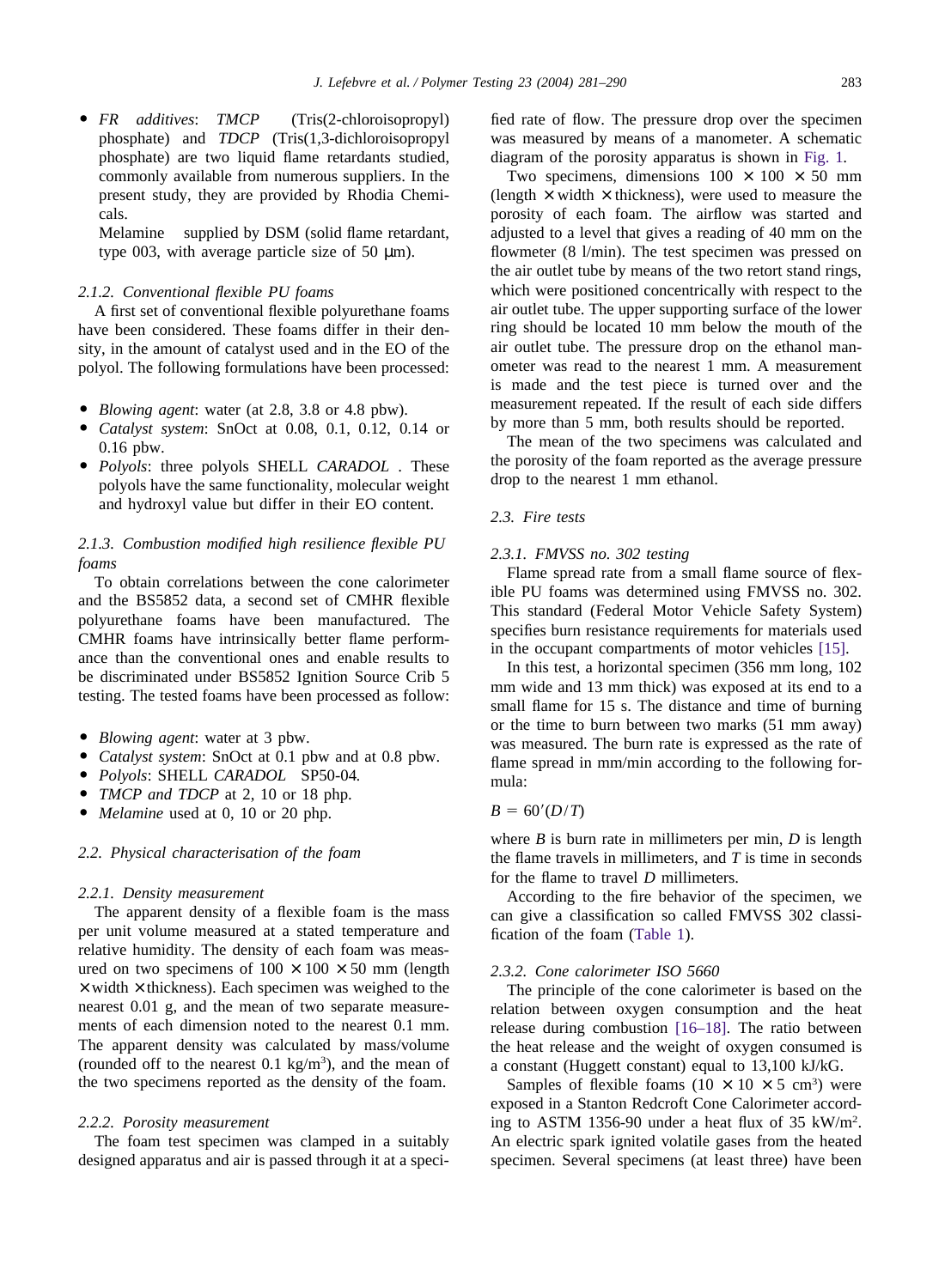• FR additives: *TMCP*<sup>IM</sup> (Tris(2-chloroisopropyl) phosphate) and *TDCP* (Tris(1,3-dichloroisopropyl phosphate) are two liquid flame retardants studied, commonly available from numerous suppliers. In the present study, they are provided by Rhodia Chemicals.

 $M$ elamine<sup>TM</sup> supplied by DSM (solid flame retardant, type 003, with average particle size of 50  $\mu$ m).

# *2.1.2. Conventional flexible PU foams*

A first set of conventional flexible polyurethane foams have been considered. These foams differ in their density, in the amount of catalyst used and in the EO of the polyol. The following formulations have been processed:

- *Blowing agent*: water (at 2.8, 3.8 or 4.8 pbw).
- *Catalyst system*: SnOct at 0.08, 0.1, 0.12, 0.14 or 0.16 pbw.
- *Polyols*: three polyols SHELL *CARADOL*. These polyols have the same functionality, molecular weight and hydroxyl value but differ in their EO content.

# *2.1.3. Combustion modified high resilience flexible PU foams*

To obtain correlations between the cone calorimeter and the BS5852 data, a second set of CMHR flexible polyurethane foams have been manufactured. The CMHR foams have intrinsically better flame performance than the conventional ones and enable results to be discriminated under BS5852 Ignition Source Crib 5 testing. The tested foams have been processed as follow:

- *Blowing agent*: water at 3 pbw.
- *Catalyst system*: SnOct at 0.1 pbw and at 0.8 pbw.
- $\bullet$  *Polyols*: SHELL *CARADOL*<sup>®</sup> SP50-04.
- *TMCP and TDCP* at 2, 10 or 18 php.
- *Melamine* used at 0, 10 or 20 php.

## *2.2. Physical characterisation of the foam*

#### *2.2.1. Density measurement*

The apparent density of a flexible foam is the mass per unit volume measured at a stated temperature and relative humidity. The density of each foam was measured on two specimens of  $100 \times 100 \times 50$  mm (length  $\times$  width  $\times$  thickness). Each specimen was weighed to the nearest 0.01 g, and the mean of two separate measurements of each dimension noted to the nearest 0.1 mm. The apparent density was calculated by mass/volume (rounded off to the nearest  $0.1 \text{ kg/m}^3$ ), and the mean of the two specimens reported as the density of the foam.

#### *2.2.2. Porosity measurement*

The foam test specimen was clamped in a suitably designed apparatus and air is passed through it at a specified rate of flow. The pressure drop over the specimen was measured by means of a manometer. A schematic diagram of the porosity apparatus is shown in [Fig. 1](#page-3-0)*.*

Two specimens, dimensions  $100 \times 100 \times 50$  mm (length  $\times$  width  $\times$  thickness), were used to measure the porosity of each foam. The airflow was started and adjusted to a level that gives a reading of 40 mm on the flowmeter (8 l/min). The test specimen was pressed on the air outlet tube by means of the two retort stand rings, which were positioned concentrically with respect to the air outlet tube. The upper supporting surface of the lower ring should be located 10 mm below the mouth of the air outlet tube. The pressure drop on the ethanol manometer was read to the nearest 1 mm. A measurement is made and the test piece is turned over and the measurement repeated. If the result of each side differs by more than 5 mm, both results should be reported.

The mean of the two specimens was calculated and the porosity of the foam reported as the average pressure drop to the nearest 1 mm ethanol.

# *2.3. Fire tests*

## *2.3.1. FMVSS no. 302 testing*

Flame spread rate from a small flame source of flexible PU foams was determined using FMVSS no. 302. This standard (Federal Motor Vehicle Safety System) specifies burn resistance requirements for materials used in the occupant compartments of motor vehicles [\[15\].](#page-9-0)

In this test, a horizontal specimen (356 mm long, 102 mm wide and 13 mm thick) was exposed at its end to a small flame for 15 s. The distance and time of burning or the time to burn between two marks (51 mm away) was measured. The burn rate is expressed as the rate of flame spread in mm/min according to the following formula:

## $B = 60'(D/T)$

where *B* is burn rate in millimeters per min, *D* is length the flame travels in millimeters, and *T* is time in seconds for the flame to travel *D* millimeters.

According to the fire behavior of the specimen, we can give a classification so called FMVSS 302 classification of the foam [\(Table 1\)](#page-3-0).

## *2.3.2. Cone calorimeter ISO 5660*

The principle of the cone calorimeter is based on the relation between oxygen consumption and the heat release during combustion [\[16–18\].](#page-9-0) The ratio between the heat release and the weight of oxygen consumed is a constant (Huggett constant) equal to 13,100 kJ/kG.

Samples of flexible foams  $(10 \times 10 \times 5 \text{ cm}^3)$  were exposed in a Stanton Redcroft Cone Calorimeter according to ASTM 1356-90 under a heat flux of 35 kW/m<sup>2</sup> . An electric spark ignited volatile gases from the heated specimen. Several specimens (at least three) have been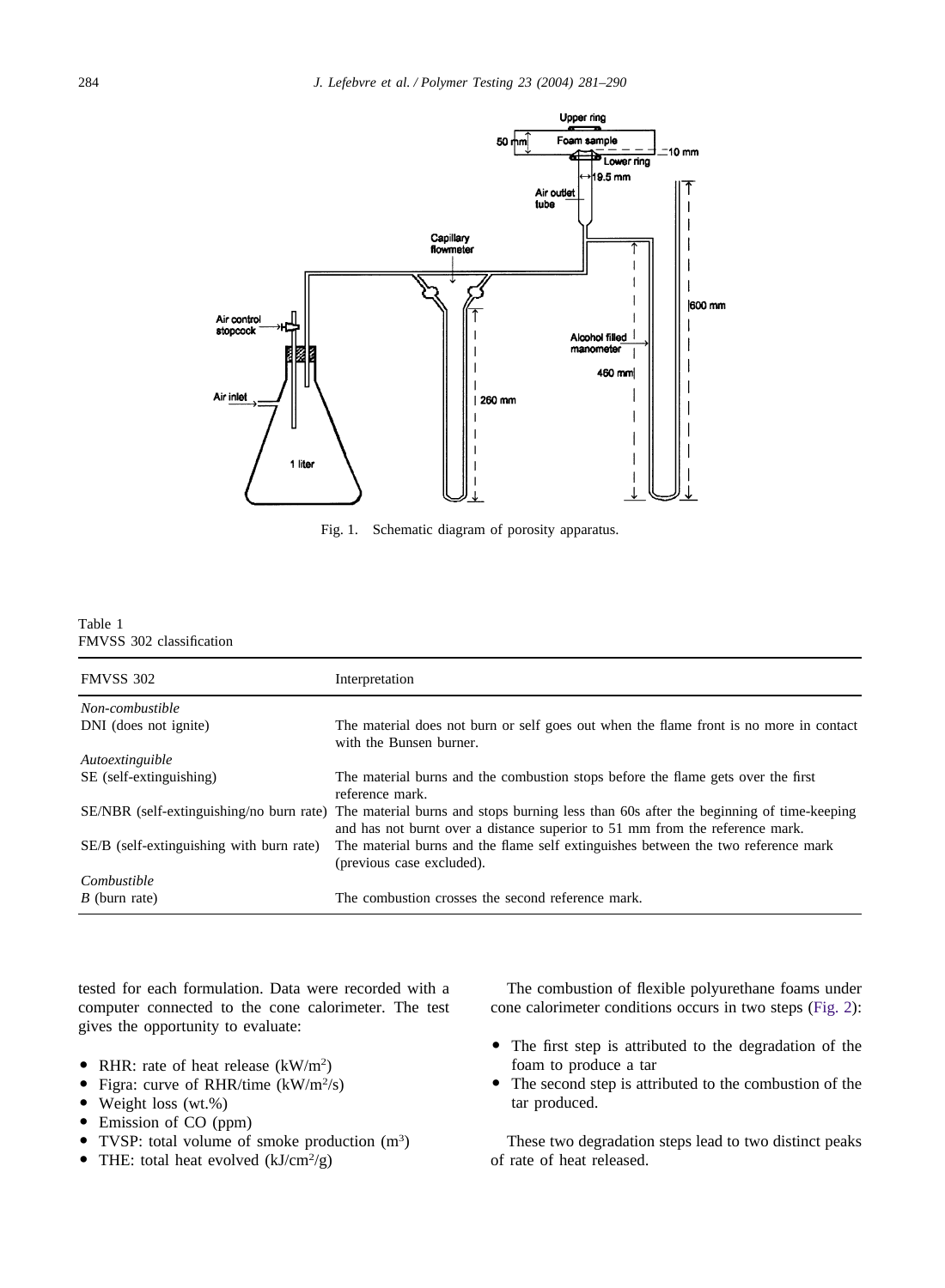<span id="page-3-0"></span>

Fig. 1. Schematic diagram of porosity apparatus.

| Table 1 |                          |
|---------|--------------------------|
|         | FMVSS 302 classification |

| <b>FMVSS 302</b>                         | Interpretation                                                                                                                                                                                                  |
|------------------------------------------|-----------------------------------------------------------------------------------------------------------------------------------------------------------------------------------------------------------------|
| Non-combustible                          |                                                                                                                                                                                                                 |
| DNI (does not ignite)                    | The material does not burn or self goes out when the flame front is no more in contact<br>with the Bunsen burner.                                                                                               |
| Autoextinguible                          |                                                                                                                                                                                                                 |
| SE (self-extinguishing)                  | The material burns and the combustion stops before the flame gets over the first<br>reference mark.                                                                                                             |
|                                          | SE/NBR (self-extinguishing/no burn rate) The material burns and stops burning less than 60s after the beginning of time-keeping<br>and has not burnt over a distance superior to 51 mm from the reference mark. |
| SE/B (self-extinguishing with burn rate) | The material burns and the flame self extinguishes between the two reference mark<br>(previous case excluded).                                                                                                  |
| Combustible<br>$B$ (burn rate)           | The combustion crosses the second reference mark.                                                                                                                                                               |

tested for each formulation. Data were recorded with a computer connected to the cone calorimeter. The test gives the opportunity to evaluate:

- RHR: rate of heat release  $(kW/m^2)$
- Figra: curve of RHR/time (kW/m<sup>2</sup>/s)
- Weight loss (wt.%)
- Emission of CO (ppm)
- TVSP: total volume of smoke production (m<sup>3</sup>)
- THE: total heat evolved  $(kJ/cm^2/g)$

The combustion of flexible polyurethane foams under cone calorimeter conditions occurs in two steps [\(Fig. 2\)](#page-4-0):

- The first step is attributed to the degradation of the foam to produce a tar
- The second step is attributed to the combustion of the tar produced.

These two degradation steps lead to two distinct peaks of rate of heat released.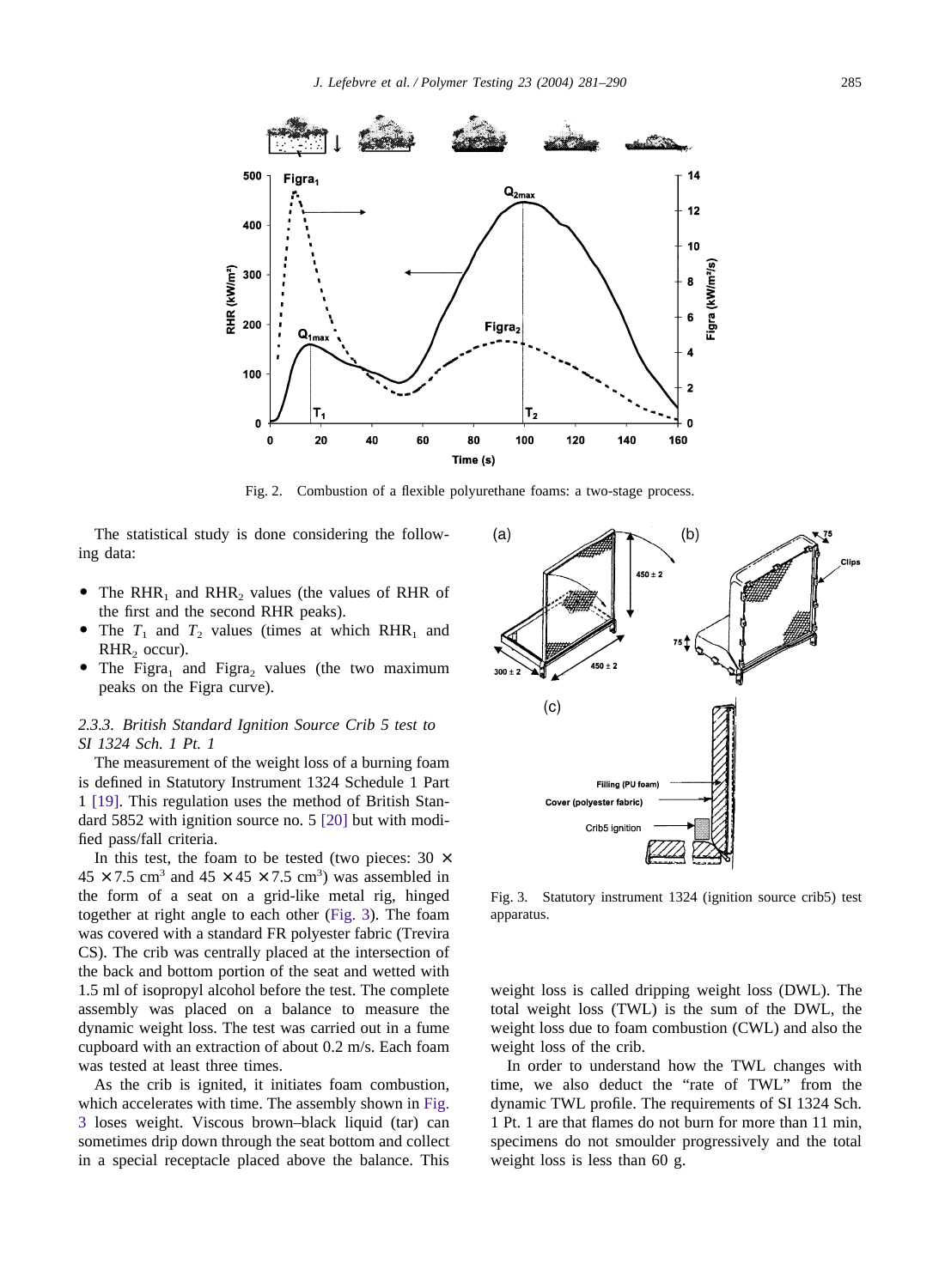<span id="page-4-0"></span>

Fig. 2. Combustion of a flexible polyurethane foams: a two-stage process.

The statistical study is done considering the following data:

- The RHR<sub>1</sub> and RHR<sub>2</sub> values (the values of RHR of the first and the second RHR peaks).
- The  $T_1$  and  $T_2$  values (times at which RHR<sub>1</sub> and  $RHR<sub>2</sub>$  occur).
- The Figra<sub>1</sub> and Figra<sub>2</sub> values (the two maximum peaks on the Figra curve).

# *2.3.3. British Standard Ignition Source Crib 5 test to SI 1324 Sch. 1 Pt. 1*

The measurement of the weight loss of a burning foam is defined in Statutory Instrument 1324 Schedule 1 Part 1 [\[19\].](#page-9-0) This regulation uses the method of British Standard 5852 with ignition source no. 5 [\[20\]](#page-9-0) but with modified pass/fall criteria.

In this test, the foam to be tested (two pieces:  $30 \times$  $45 \times 7.5$  cm<sup>3</sup> and  $45 \times 45 \times 7.5$  cm<sup>3</sup>) was assembled in the form of a seat on a grid-like metal rig, hinged together at right angle to each other (Fig. 3). The foam was covered with a standard FR polyester fabric (Trevira CS). The crib was centrally placed at the intersection of the back and bottom portion of the seat and wetted with 1.5 ml of isopropyl alcohol before the test. The complete assembly was placed on a balance to measure the dynamic weight loss. The test was carried out in a fume cupboard with an extraction of about 0.2 m/s. Each foam was tested at least three times.

As the crib is ignited, it initiates foam combustion, which accelerates with time. The assembly shown in Fig. 3 loses weight. Viscous brown–black liquid (tar) can sometimes drip down through the seat bottom and collect in a special receptacle placed above the balance. This



Fig. 3. Statutory instrument 1324 (ignition source crib5) test apparatus.

weight loss is called dripping weight loss (DWL). The total weight loss (TWL) is the sum of the DWL, the weight loss due to foam combustion (CWL) and also the weight loss of the crib.

In order to understand how the TWL changes with time, we also deduct the "rate of TWL" from the dynamic TWL profile. The requirements of SI 1324 Sch. 1 Pt. 1 are that flames do not burn for more than 11 min, specimens do not smoulder progressively and the total weight loss is less than 60 g.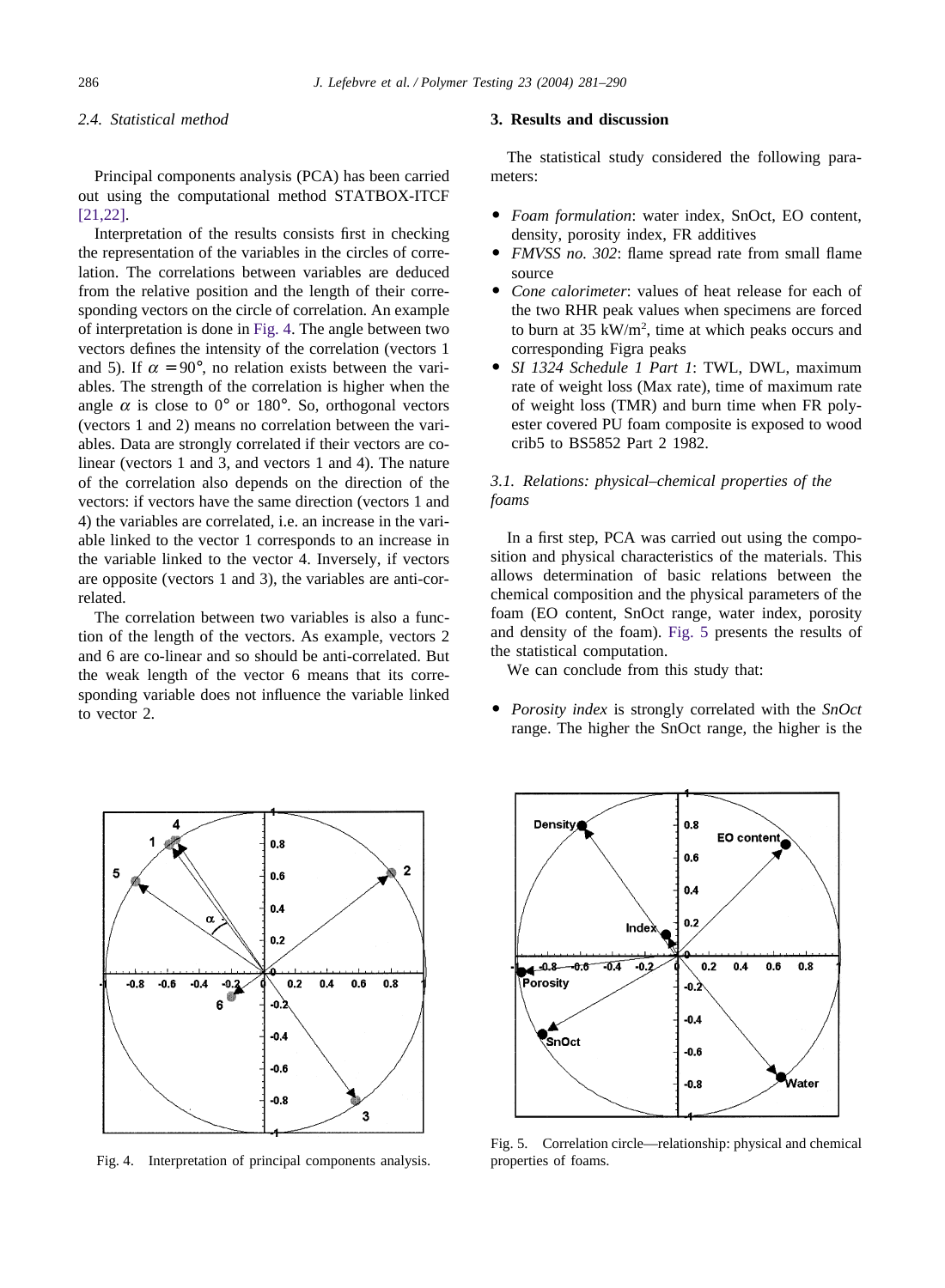## *2.4. Statistical method*

Principal components analysis (PCA) has been carried out using the computational method STATBOX-ITCF [\[21,22\].](#page-9-0)

Interpretation of the results consists first in checking the representation of the variables in the circles of correlation. The correlations between variables are deduced from the relative position and the length of their corresponding vectors on the circle of correlation. An example of interpretation is done in Fig. 4. The angle between two vectors defines the intensity of the correlation (vectors 1 and 5). If  $\alpha = 90^{\circ}$ , no relation exists between the variables. The strength of the correlation is higher when the angle  $\alpha$  is close to 0° or 180°. So, orthogonal vectors (vectors 1 and 2) means no correlation between the variables. Data are strongly correlated if their vectors are colinear (vectors 1 and 3, and vectors 1 and 4). The nature of the correlation also depends on the direction of the vectors: if vectors have the same direction (vectors 1 and 4) the variables are correlated, i.e. an increase in the variable linked to the vector 1 corresponds to an increase in the variable linked to the vector 4. Inversely, if vectors are opposite (vectors 1 and 3), the variables are anti-correlated.

The correlation between two variables is also a function of the length of the vectors. As example, vectors 2 and 6 are co-linear and so should be anti-correlated. But the weak length of the vector 6 means that its corresponding variable does not influence the variable linked to vector 2.



Fig. 4. Interpretation of principal components analysis.

# **3. Results and discussion**

The statistical study considered the following parameters:

- *Foam formulation*: water index, SnOct, EO content, density, porosity index, FR additives
- *FMVSS no. 302*: flame spread rate from small flame source
- *Cone calorimeter*: values of heat release for each of the two RHR peak values when specimens are forced to burn at  $35 \text{ kW/m}^2$ , time at which peaks occurs and corresponding Figra peaks
- *SI 1324 Schedule 1 Part 1*: TWL, DWL, maximum rate of weight loss (Max rate), time of maximum rate of weight loss (TMR) and burn time when FR polyester covered PU foam composite is exposed to wood crib5 to BS5852 Part 2 1982.

# *3.1. Relations: physical–chemical properties of the foams*

In a first step, PCA was carried out using the composition and physical characteristics of the materials. This allows determination of basic relations between the chemical composition and the physical parameters of the foam (EO content, SnOct range, water index, porosity and density of the foam). Fig. 5 presents the results of the statistical computation.

We can conclude from this study that:

 *Porosity index* is strongly correlated with the *SnOct* range. The higher the SnOct range, the higher is the



Fig. 5. Correlation circle—relationship: physical and chemical properties of foams.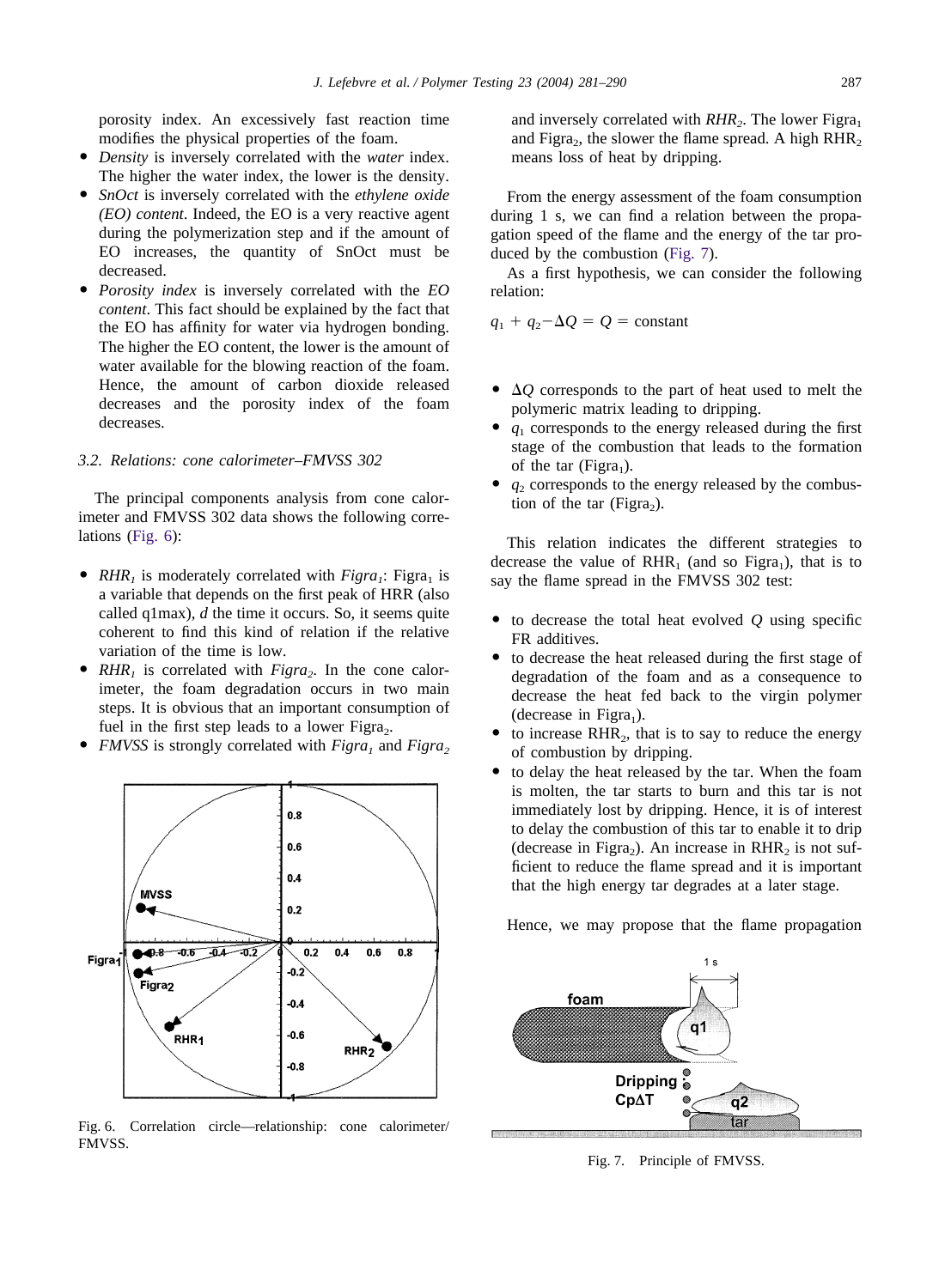porosity index. An excessively fast reaction time modifies the physical properties of the foam.

- *Density* is inversely correlated with the *water* index. The higher the water index, the lower is the density.
- *SnOct* is inversely correlated with the *ethylene oxide (EO) content*. Indeed, the EO is a very reactive agent during the polymerization step and if the amount of EO increases, the quantity of SnOct must be decreased.
- *Porosity index* is inversely correlated with the *EO content*. This fact should be explained by the fact that the EO has affinity for water via hydrogen bonding. The higher the EO content, the lower is the amount of water available for the blowing reaction of the foam. Hence, the amount of carbon dioxide released decreases and the porosity index of the foam decreases.

# *3.2. Relations: cone calorimeter–FMVSS 302*

The principal components analysis from cone calorimeter and FMVSS 302 data shows the following correlations (Fig. 6):

- $RHR<sub>1</sub>$  is moderately correlated with  $Figra<sub>1</sub>$ : Figra<sub>1</sub> is a variable that depends on the first peak of HRR (also called q1max), *d* the time it occurs. So, it seems quite coherent to find this kind of relation if the relative variation of the time is low.
- $RHR_1$  is correlated with  $Figra_2$ . In the cone calorimeter, the foam degradation occurs in two main steps. It is obvious that an important consumption of fuel in the first step leads to a lower Figra $_2$ .
- *FMVSS* is strongly correlated with *Figra<sub>1</sub>* and *Figra*<sub>2</sub>



Fig. 6. Correlation circle—relationship: cone calorimeter/ FMVSS.

and inversely correlated with  $RHR<sub>2</sub>$ . The lower Figra<sub>1</sub> and Figra $_2$ , the slower the flame spread. A high RHR<sub>2</sub> means loss of heat by dripping.

From the energy assessment of the foam consumption during 1 s, we can find a relation between the propagation speed of the flame and the energy of the tar produced by the combustion (Fig. 7).

As a first hypothesis, we can consider the following relation:

 $q_1 + q_2 - \Delta Q = Q = \text{constant}$ 

- $\bullet$   $\Delta Q$  corresponds to the part of heat used to melt the polymeric matrix leading to dripping.
- *q*<sup>1</sup> corresponds to the energy released during the first stage of the combustion that leads to the formation of the tar (Figra<sub>1</sub>).
- $\bullet$   $q_2$  corresponds to the energy released by the combustion of the tar (Figra $_2$ ).

This relation indicates the different strategies to decrease the value of  $RHR_1$  (and so Figra<sub>1</sub>), that is to say the flame spread in the FMVSS 302 test:

- $\bullet$  to decrease the total heat evolved  $Q$  using specific FR additives.
- to decrease the heat released during the first stage of degradation of the foam and as a consequence to decrease the heat fed back to the virgin polymer (decrease in Figra<sub>1</sub>).
- to increase  $RHR<sub>2</sub>$ , that is to say to reduce the energy of combustion by dripping.
- to delay the heat released by the tar. When the foam is molten, the tar starts to burn and this tar is not immediately lost by dripping. Hence, it is of interest to delay the combustion of this tar to enable it to drip (decrease in Figra<sub>2</sub>). An increase in RHR<sub>2</sub> is not sufficient to reduce the flame spread and it is important that the high energy tar degrades at a later stage.

Hence, we may propose that the flame propagation



Fig. 7. Principle of FMVSS.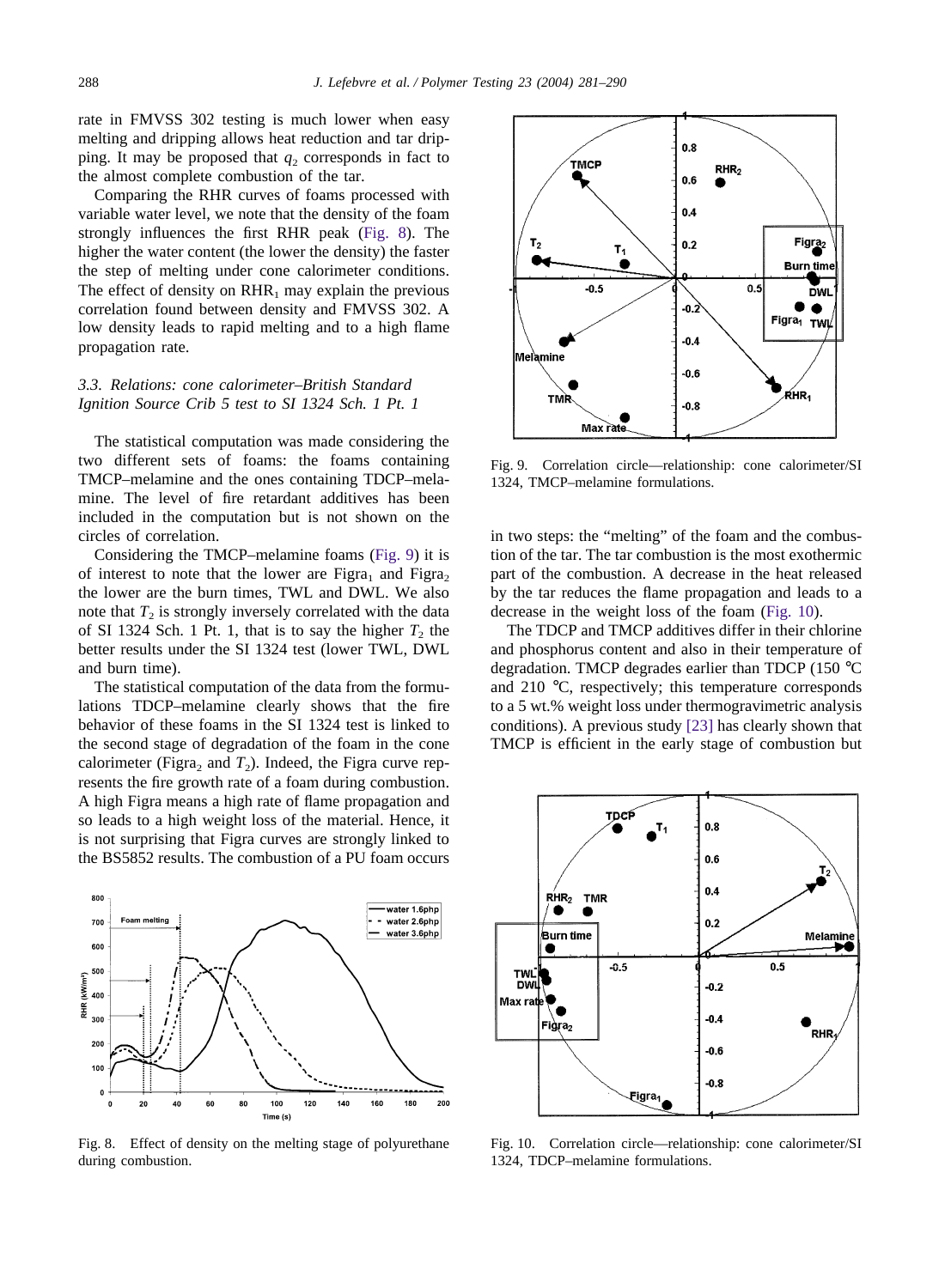rate in FMVSS 302 testing is much lower when easy melting and dripping allows heat reduction and tar dripping. It may be proposed that  $q_2$  corresponds in fact to the almost complete combustion of the tar.

Comparing the RHR curves of foams processed with variable water level, we note that the density of the foam strongly influences the first RHR peak (Fig. 8). The higher the water content (the lower the density) the faster the step of melting under cone calorimeter conditions. The effect of density on  $RHR_1$  may explain the previous correlation found between density and FMVSS 302. A low density leads to rapid melting and to a high flame propagation rate.

# *3.3. Relations: cone calorimeter–British Standard Ignition Source Crib 5 test to SI 1324 Sch. 1 Pt. 1*

The statistical computation was made considering the two different sets of foams: the foams containing TMCP–melamine and the ones containing TDCP–melamine. The level of fire retardant additives has been included in the computation but is not shown on the circles of correlation.

Considering the TMCP–melamine foams (Fig. 9) it is of interest to note that the lower are Figra, and Figra, the lower are the burn times, TWL and DWL. We also note that  $T_2$  is strongly inversely correlated with the data of SI 1324 Sch. 1 Pt. 1, that is to say the higher  $T_2$  the better results under the SI 1324 test (lower TWL, DWL and burn time).

The statistical computation of the data from the formulations TDCP–melamine clearly shows that the fire behavior of these foams in the SI 1324 test is linked to the second stage of degradation of the foam in the cone calorimeter (Figra<sub>2</sub> and  $T_2$ ). Indeed, the Figra curve represents the fire growth rate of a foam during combustion. A high Figra means a high rate of flame propagation and so leads to a high weight loss of the material. Hence, it is not surprising that Figra curves are strongly linked to the BS5852 results. The combustion of a PU foam occurs



Fig. 8. Effect of density on the melting stage of polyurethane during combustion.



Fig. 9. Correlation circle—relationship: cone calorimeter/SI 1324, TMCP–melamine formulations.

in two steps: the "melting" of the foam and the combustion of the tar. The tar combustion is the most exothermic part of the combustion. A decrease in the heat released by the tar reduces the flame propagation and leads to a decrease in the weight loss of the foam (Fig. 10).

The TDCP and TMCP additives differ in their chlorine and phosphorus content and also in their temperature of degradation. TMCP degrades earlier than TDCP (150 °C and 210 °C, respectively; this temperature corresponds to a 5 wt.% weight loss under thermogravimetric analysis conditions). A previous study [\[23\]](#page-9-0) has clearly shown that TMCP is efficient in the early stage of combustion but



Fig. 10. Correlation circle—relationship: cone calorimeter/SI 1324, TDCP–melamine formulations.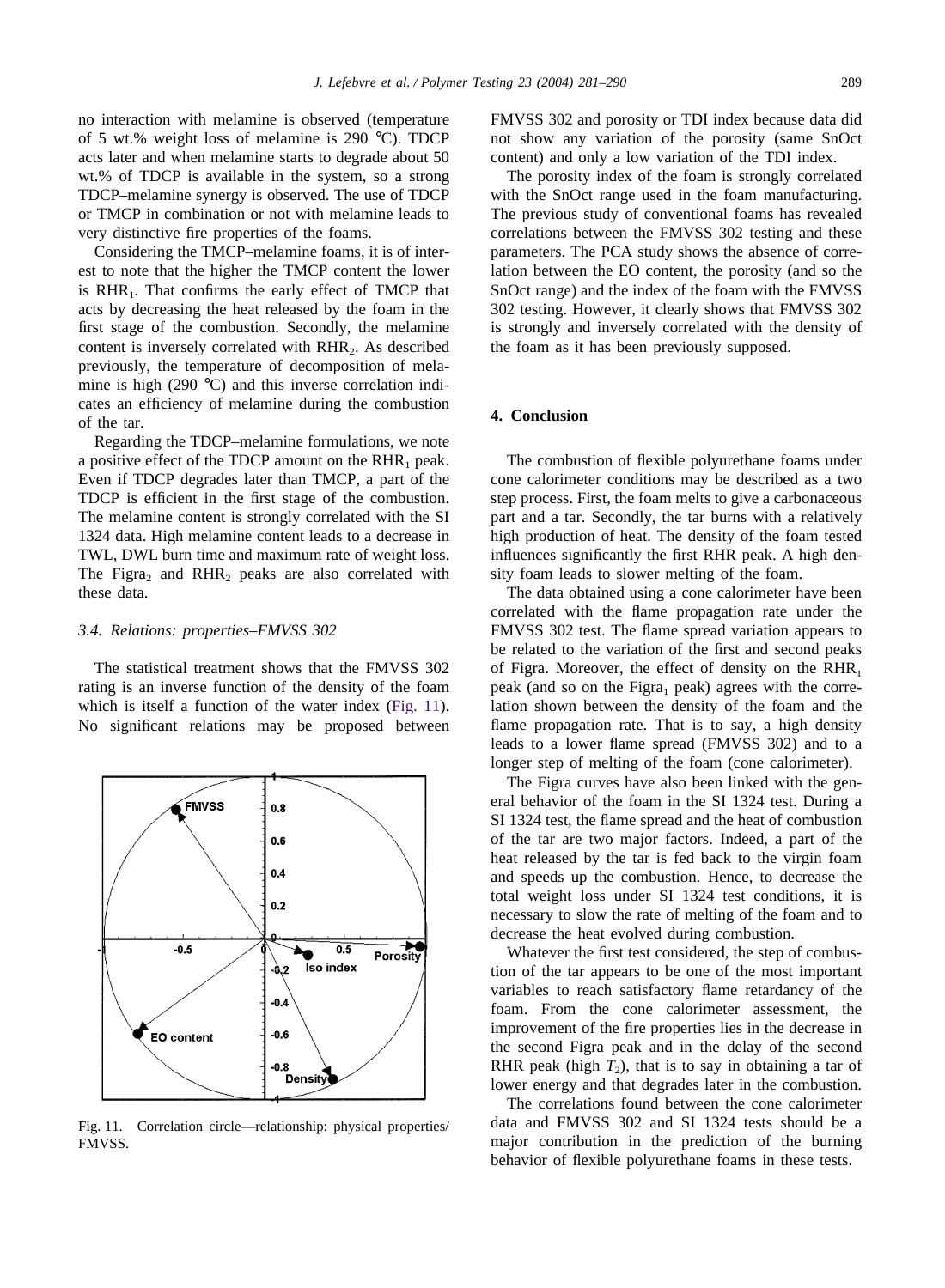no interaction with melamine is observed (temperature of 5 wt.% weight loss of melamine is 290 °C). TDCP acts later and when melamine starts to degrade about 50 wt.% of TDCP is available in the system, so a strong TDCP–melamine synergy is observed. The use of TDCP or TMCP in combination or not with melamine leads to very distinctive fire properties of the foams.

Considering the TMCP–melamine foams, it is of interest to note that the higher the TMCP content the lower is RHR<sub>1</sub>. That confirms the early effect of TMCP that acts by decreasing the heat released by the foam in the first stage of the combustion. Secondly, the melamine content is inversely correlated with  $RHR<sub>2</sub>$ . As described previously, the temperature of decomposition of melamine is high (290 °C) and this inverse correlation indicates an efficiency of melamine during the combustion of the tar.

Regarding the TDCP–melamine formulations, we note a positive effect of the TDCP amount on the  $RHR_1$  peak. Even if TDCP degrades later than TMCP, a part of the TDCP is efficient in the first stage of the combustion. The melamine content is strongly correlated with the SI 1324 data. High melamine content leads to a decrease in TWL, DWL burn time and maximum rate of weight loss. The Figra<sub>2</sub> and RHR<sub>2</sub> peaks are also correlated with these data.

#### *3.4. Relations: properties–FMVSS 302*

The statistical treatment shows that the FMVSS 302 rating is an inverse function of the density of the foam which is itself a function of the water index (Fig. 11). No significant relations may be proposed between



Fig. 11. Correlation circle—relationship: physical properties/ FMVSS.

FMVSS 302 and porosity or TDI index because data did not show any variation of the porosity (same SnOct content) and only a low variation of the TDI index.

The porosity index of the foam is strongly correlated with the SnOct range used in the foam manufacturing. The previous study of conventional foams has revealed correlations between the FMVSS 302 testing and these parameters. The PCA study shows the absence of correlation between the EO content, the porosity (and so the SnOct range) and the index of the foam with the FMVSS 302 testing. However, it clearly shows that FMVSS 302 is strongly and inversely correlated with the density of the foam as it has been previously supposed.

# **4. Conclusion**

The combustion of flexible polyurethane foams under cone calorimeter conditions may be described as a two step process. First, the foam melts to give a carbonaceous part and a tar. Secondly, the tar burns with a relatively high production of heat. The density of the foam tested influences significantly the first RHR peak. A high density foam leads to slower melting of the foam.

The data obtained using a cone calorimeter have been correlated with the flame propagation rate under the FMVSS 302 test. The flame spread variation appears to be related to the variation of the first and second peaks of Figra. Moreover, the effect of density on the  $RHR_1$ peak (and so on the Figra<sub>1</sub> peak) agrees with the correlation shown between the density of the foam and the flame propagation rate. That is to say, a high density leads to a lower flame spread (FMVSS 302) and to a longer step of melting of the foam (cone calorimeter).

The Figra curves have also been linked with the general behavior of the foam in the SI 1324 test. During a SI 1324 test, the flame spread and the heat of combustion of the tar are two major factors. Indeed, a part of the heat released by the tar is fed back to the virgin foam and speeds up the combustion. Hence, to decrease the total weight loss under SI 1324 test conditions, it is necessary to slow the rate of melting of the foam and to decrease the heat evolved during combustion.

Whatever the first test considered, the step of combustion of the tar appears to be one of the most important variables to reach satisfactory flame retardancy of the foam. From the cone calorimeter assessment, the improvement of the fire properties lies in the decrease in the second Figra peak and in the delay of the second RHR peak (high  $T_2$ ), that is to say in obtaining a tar of lower energy and that degrades later in the combustion.

The correlations found between the cone calorimeter data and FMVSS 302 and SI 1324 tests should be a major contribution in the prediction of the burning behavior of flexible polyurethane foams in these tests.